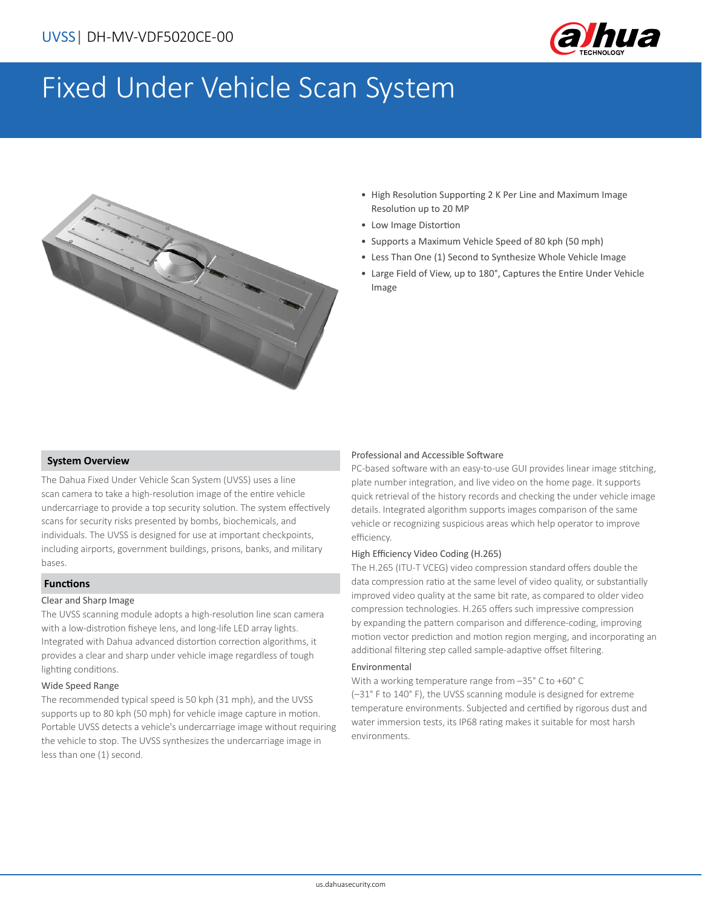

# Fixed Under Vehicle Scan System



- High Resolution Supporting 2 K Per Line and Maximum Image Resolution up to 20 MP
- Low Image Distortion
- Supports a Maximum Vehicle Speed of 80 kph (50 mph)
- Less Than One (1) Second to Synthesize Whole Vehicle Image
- Large Field of View, up to 180°, Captures the Entire Under Vehicle Image

#### **System Overview**

The Dahua Fixed Under Vehicle Scan System (UVSS) uses a line scan camera to take a high-resolution image of the entire vehicle undercarriage to provide a top security solution. The system effectively scans for security risks presented by bombs, biochemicals, and individuals. The UVSS is designed for use at important checkpoints, including airports, government buildings, prisons, banks, and military bases.

#### **Functions**

#### Clear and Sharp Image

The UVSS scanning module adopts a high-resolution line scan camera with a low-distrotion fisheye lens, and long-life LED array lights. Integrated with Dahua advanced distortion correction algorithms, it provides a clear and sharp under vehicle image regardless of tough lighting conditions.

#### Wide Speed Range

The recommended typical speed is 50 kph (31 mph), and the UVSS supports up to 80 kph (50 mph) for vehicle image capture in motion. Portable UVSS detects a vehicle's undercarriage image without requiring the vehicle to stop. The UVSS synthesizes the undercarriage image in less than one (1) second.

#### Professional and Accessible Software

PC-based software with an easy-to-use GUI provides linear image stitching, plate number integration, and live video on the home page. It supports quick retrieval of the history records and checking the under vehicle image details. Integrated algorithm supports images comparison of the same vehicle or recognizing suspicious areas which help operator to improve efficiency.

#### High Efficiency Video Coding (H.265)

The H.265 (ITU-T VCEG) video compression standard offers double the data compression ratio at the same level of video quality, or substantially improved video quality at the same bit rate, as compared to older video compression technologies. H.265 offers such impressive compression by expanding the pattern comparison and difference-coding, improving motion vector prediction and motion region merging, and incorporating an additional filtering step called sample-adaptive offset filtering.

#### Environmental

With a working temperature range from –35° C to +60° C (–31° F to 140° F), the UVSS scanning module is designed for extreme temperature environments. Subjected and certified by rigorous dust and water immersion tests, its IP68 rating makes it suitable for most harsh environments.